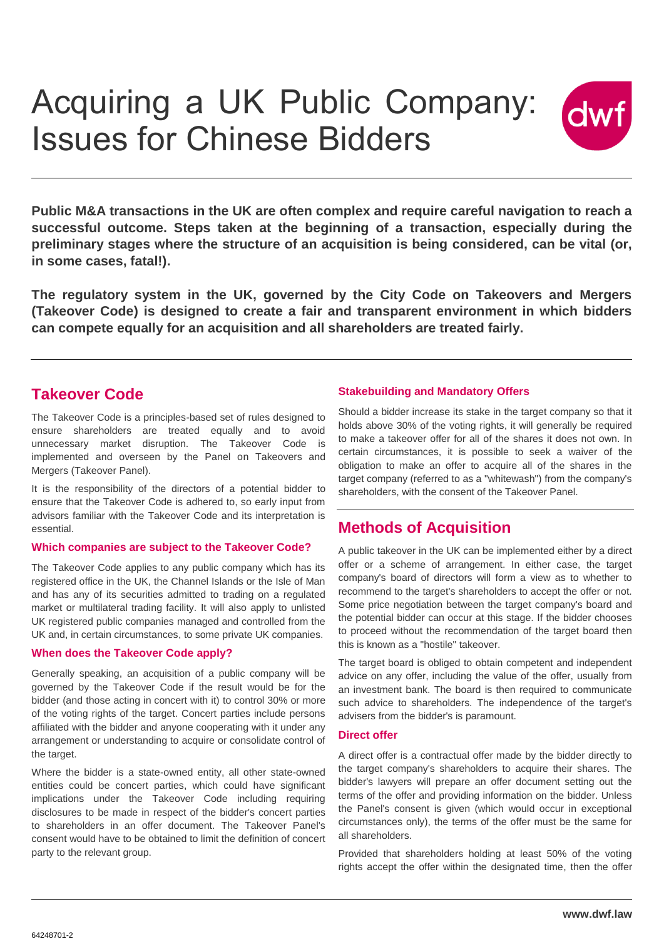

**Public M&A transactions in the UK are often complex and require careful navigation to reach a successful outcome. Steps taken at the beginning of a transaction, especially during the preliminary stages where the structure of an acquisition is being considered, can be vital (or, in some cases, fatal!).** 

**The regulatory system in the UK, governed by the City Code on Takeovers and Mergers (Takeover Code) is designed to create a fair and transparent environment in which bidders can compete equally for an acquisition and all shareholders are treated fairly.**

# **Takeover Code**

The Takeover Code is a principles-based set of rules designed to ensure shareholders are treated equally and to avoid unnecessary market disruption. The Takeover Code is implemented and overseen by the Panel on Takeovers and Mergers (Takeover Panel).

It is the responsibility of the directors of a potential bidder to ensure that the Takeover Code is adhered to, so early input from advisors familiar with the Takeover Code and its interpretation is essential.

### **Which companies are subject to the Takeover Code?**

The Takeover Code applies to any public company which has its registered office in the UK, the Channel Islands or the Isle of Man and has any of its securities admitted to trading on a regulated market or multilateral trading facility. It will also apply to unlisted UK registered public companies managed and controlled from the UK and, in certain circumstances, to some private UK companies.

### **When does the Takeover Code apply?**

Generally speaking, an acquisition of a public company will be governed by the Takeover Code if the result would be for the bidder (and those acting in concert with it) to control 30% or more of the voting rights of the target. Concert parties include persons affiliated with the bidder and anyone cooperating with it under any arrangement or understanding to acquire or consolidate control of the target.

Where the bidder is a state-owned entity, all other state-owned entities could be concert parties, which could have significant implications under the Takeover Code including requiring disclosures to be made in respect of the bidder's concert parties to shareholders in an offer document. The Takeover Panel's consent would have to be obtained to limit the definition of concert party to the relevant group.

## **Stakebuilding and Mandatory Offers**

Should a bidder increase its stake in the target company so that it holds above 30% of the voting rights, it will generally be required to make a takeover offer for all of the shares it does not own. In certain circumstances, it is possible to seek a waiver of the obligation to make an offer to acquire all of the shares in the target company (referred to as a "whitewash") from the company's shareholders, with the consent of the Takeover Panel.

## **Methods of Acquisition**

A public takeover in the UK can be implemented either by a direct offer or a scheme of arrangement. In either case, the target company's board of directors will form a view as to whether to recommend to the target's shareholders to accept the offer or not. Some price negotiation between the target company's board and the potential bidder can occur at this stage. If the bidder chooses to proceed without the recommendation of the target board then this is known as a "hostile" takeover.

The target board is obliged to obtain competent and independent advice on any offer, including the value of the offer, usually from an investment bank. The board is then required to communicate such advice to shareholders. The independence of the target's advisers from the bidder's is paramount.

## **Direct offer**

A direct offer is a contractual offer made by the bidder directly to the target company's shareholders to acquire their shares. The bidder's lawyers will prepare an offer document setting out the terms of the offer and providing information on the bidder. Unless the Panel's consent is given (which would occur in exceptional circumstances only), the terms of the offer must be the same for all shareholders.

Provided that shareholders holding at least 50% of the voting rights accept the offer within the designated time, then the offer